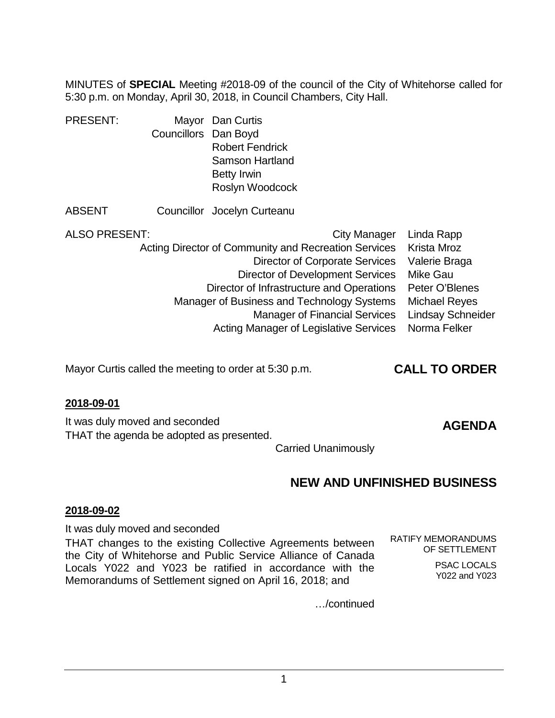MINUTES of **SPECIAL** Meeting #2018-09 of the council of the City of Whitehorse called for 5:30 p.m. on Monday, April 30, 2018, in Council Chambers, City Hall.

| <b>PRESENT:</b> |                      | Mayor Dan Curtis            |
|-----------------|----------------------|-----------------------------|
|                 | Councillors Dan Boyd |                             |
|                 |                      | <b>Robert Fendrick</b>      |
|                 |                      | <b>Samson Hartland</b>      |
|                 |                      | <b>Betty Irwin</b>          |
|                 |                      | Roslyn Woodcock             |
| <b>ABSENT</b>   |                      | Councillor Jocelyn Curteanu |

| ALSO PRESENT: | City Manager                                         | Linda Rapp               |
|---------------|------------------------------------------------------|--------------------------|
|               | Acting Director of Community and Recreation Services | Krista Mroz              |
|               | <b>Director of Corporate Services</b>                | Valerie Braga            |
|               | <b>Director of Development Services</b>              | Mike Gau                 |
|               | Director of Infrastructure and Operations            | Peter O'Blenes           |
|               | Manager of Business and Technology Systems           | <b>Michael Reyes</b>     |
|               | <b>Manager of Financial Services</b>                 | <b>Lindsay Schneider</b> |
|               | Acting Manager of Legislative Services               | Norma Felker             |

Mayor Curtis called the meeting to order at 5:30 p.m. **CALL TO ORDER**

### **2018-09-01**

It was duly moved and seconded THAT the agenda be adopted as presented.

# **AGENDA**

Carried Unanimously

# **NEW AND UNFINISHED BUSINESS**

#### **2018-09-02**

It was duly moved and seconded

THAT changes to the existing Collective Agreements between the City of Whitehorse and Public Service Alliance of Canada Locals Y022 and Y023 be ratified in accordance with the Memorandums of Settlement signed on April 16, 2018; and

RATIFY MEMORANDUMS OF SETTLEMENT

> PSAC LOCALS Y022 and Y023

…/continued